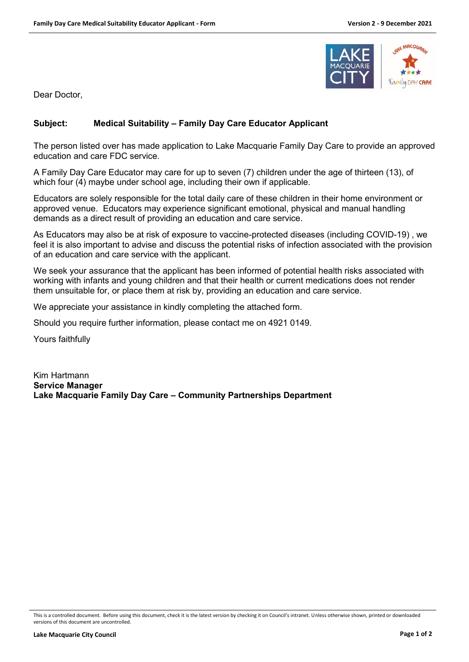

Dear Doctor,

## **Subject: Medical Suitability – Family Day Care Educator Applicant**

The person listed over has made application to Lake Macquarie Family Day Care to provide an approved education and care FDC service.

A Family Day Care Educator may care for up to seven (7) children under the age of thirteen (13), of which four (4) maybe under school age, including their own if applicable.

Educators are solely responsible for the total daily care of these children in their home environment or approved venue. Educators may experience significant emotional, physical and manual handling demands as a direct result of providing an education and care service.

As Educators may also be at risk of exposure to vaccine-protected diseases (including COVID-19) , we feel it is also important to advise and discuss the potential risks of infection associated with the provision of an education and care service with the applicant.

We seek your assurance that the applicant has been informed of potential health risks associated with working with infants and young children and that their health or current medications does not render them unsuitable for, or place them at risk by, providing an education and care service.

We appreciate your assistance in kindly completing the attached form.

Should you require further information, please contact me on 4921 0149.

Yours faithfully

Kim Hartmann **Service Manager Lake Macquarie Family Day Care – Community Partnerships Department**

This is a controlled document. Before using this document, check it is the latest version by checking it on Council's intranet. Unless otherwise shown, printed or downloaded versions of this document are uncontrolled.